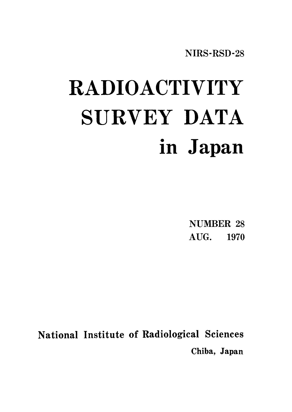NIRS-RSD-28

# RADIOACTIVITY SURVEY DATA in Japan

**NUMBER 28** AUG. 1970

National Institute of Radiological Sciences Chiba, Japan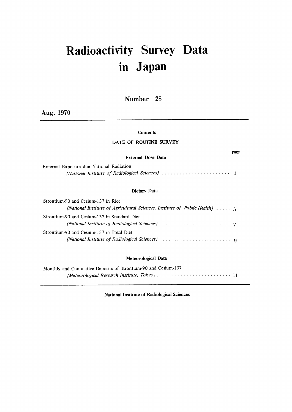# Radioactivity Survey Data in Japan

Number 28

Aug. 1970

### Contents

### DATE OF ROUTINE SURVEY

### External Dose Data

page

| External Exposure due National Radiation |  |
|------------------------------------------|--|
|                                          |  |

### Dietary Data

| Strontium-90 and Cesium-137 in Rice                                                   |  |
|---------------------------------------------------------------------------------------|--|
| (National Institute of Agricultural Sciences, Institute of Public Health) $\dots$ , 5 |  |
| Strontium-90 and Cesium-137 in Standard Diet                                          |  |
| Strontium-90 and Cesium-137 in Total Diet                                             |  |

### Meteorological Data

| Monthly and Cumulative Deposits of Strontium-90 and Cesium-137 |
|----------------------------------------------------------------|
|                                                                |

National Institute of Radiological Sciences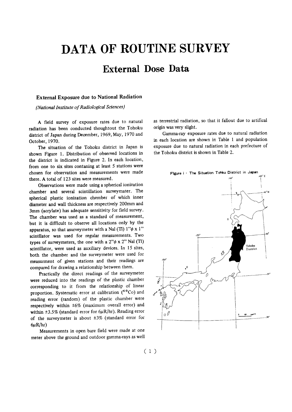# **DATA OF ROUTINE SURVEY**

### **External Dose Data**

### External Exposure due to National Radiation

(National Institute of Radiological Sciences)

A field survey of exposure rates due to natural radiation has been conducted thoughtout the Tohoku district of Japan during December, 1969, May, 1970 and October, 1970.

The situation of the Tohoku district in Japan is shown Figure 1. Distribution of observed locations in the district is indicated in Figure 2. In each location, from one to six sites contaning at least 5 stations were chosen for observation and measurements were made there. A total of 123 sites were measured.

Observations were made using a spherical ionization chamber and several scintillation surveymater. The spherical plastic ionization chember of which inner diameter and wall thickness are respectively 200mm and 3mm (acrylate) has adequate sensitivity for field survey. The chamber was used as a standard of measurement, but it is difficult to observe all locations only by the apparatus, so that asurveymeter with a Nal (Tl)  $1"\phi x 1"$ scintllator was used for regular measurements. Two types of surveymeters, the one with a  $2"\phi \times 2"$  Nal (Tl) scintillator, were used as auxiliary devices. In 15 sites, both the chamber and the surveymeter were used for measurment of given stations and their readings are compared for drawing a relationship between them.

Practically the direct readings of the surveymeter were reduced into the readings of the plastic chamber corresponding to it from the relationship of linear proportion. Systematic error at calibration (60Co) and reading error (random) of the plastic chamber were respectively within ±6% (maximum overall error) and within  $\pm 3.5\%$  (standard error for 6µR/hr). Reading error of the surveymeter is about  $\pm 3\%$  (standard error for  $6\mu R/hr$ )

Measurements in open bare field were made at one meter above the ground and outdoor gamma-rays as well as terrestrial radiation, so that it fallout due to artifical origin was very slight.

Gamma-ray exposure rates due to natural radiation in each location are shown in Table 1 and population exposure due to natural radiation in each prefecture of the Tohoku district is shown in Table 2.



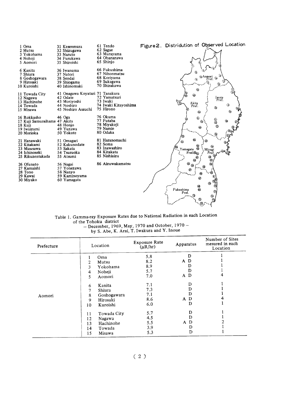

### Table 1. Gamma-ray Exposure Rates due to National Radiation in each Location of the Tohoku district

| $-$ December, 1969, May, 1970 and October, 1970 – |  |
|---------------------------------------------------|--|
| by S. Abe, K. Arai, T. Iwakura and Y. Inoue       |  |

| Prefecture | Location          | Exposure Rate<br>$(\mu R/hr)$ | Apparatus         | Number of Sites<br>mesured in each<br>Location |
|------------|-------------------|-------------------------------|-------------------|------------------------------------------------|
|            | Oma<br>1          | 5.8                           | D                 |                                                |
|            | Mutsu<br>2        | 8.2                           | A D               |                                                |
|            | 3<br>Yokohama     | 8.9                           |                   |                                                |
|            | Noheji<br>4       | 5.7                           | D                 |                                                |
|            | 5<br>Aomori       | 7.0                           | A D               | 4                                              |
|            | Kanita<br>6       | 7.1                           | D                 |                                                |
|            | Shiura<br>7       | 7.3                           | D                 |                                                |
| Aomori     | Goshogawara<br>8  | 7.1                           | D                 |                                                |
|            | Hirosaki<br>9     | 8.6                           | A D               |                                                |
|            | Kuroishi<br>10    | 6.0                           | D                 |                                                |
|            | Towada City<br>11 | 5.7                           | D                 |                                                |
|            | Nagawa<br>12      | 4.5                           |                   |                                                |
|            | Hachinohe<br>13   | 5.5                           | D<br>$\mathbf{A}$ |                                                |
|            | 14<br>Towada      | 3.9                           | D                 |                                                |
|            | 15<br>Misawa      | 5.3                           | D                 |                                                |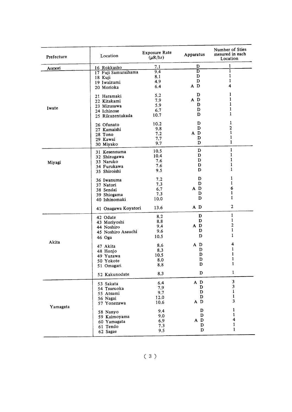| Aomori   | 16 Rokkasho<br>17 Fuji Samuraihama | 7.1  |                         |              |
|----------|------------------------------------|------|-------------------------|--------------|
|          |                                    |      | D                       | 1            |
|          |                                    | 9.4  | $\overline{\mathbf{D}}$ | ī            |
|          | 18 Kuji                            | 8.1  | D                       | 1            |
|          | 19 Iwaizumi                        | 4.9  | D                       | 1            |
|          | 20 Morioka                         | 6.4  | A D                     | 4            |
|          | 21 Haramaki                        | 5.2  | D                       | 1            |
|          | 22 Kitakami                        | 7.9  | A D                     | 1            |
|          | 23 Mizusawa                        | 5.9  | D                       | 1            |
| Iwate    | 24 Ichinose                        | 6.7  | D                       | 1            |
|          | 25 Rikuzentakada                   | 10.7 | D                       | 1            |
|          |                                    | 10.2 | D                       | 1            |
|          | 26 Ofunato                         | 9.8  | D                       | 2            |
|          | 27 Kamaishi                        | 7.2  | A D                     | 1            |
|          | 28 Tono                            |      | D                       | 1            |
|          | 29 Kawai                           | 7.7  | D                       | 1            |
|          | 30 Miyako                          | 9.7  |                         |              |
|          | 31 Kesennuma                       | 10.5 | D                       | $\mathbf{1}$ |
|          | 32 Shizugawa                       | 10.4 | D                       | 1            |
| Miyagi   | 33 Naruko                          | 7.6  | D                       | 1            |
|          | 34 Furukawa                        | 7.6  | D                       | 1            |
|          | 35 Shiroishi                       | 9.5  | D                       | 1            |
|          | 36 Iwanuma                         | 7.2  | D                       | 1            |
|          | 37 Natori                          | 7.3  | D                       | 1            |
|          | 38 Sendai                          | 6.7  | A D                     | 6            |
|          | 39 Shiogama                        | 7.3  | D                       | 1            |
|          | 40 Ishinomaki                      | 10.0 | D                       | 1            |
|          | 41 Onagawa Koyatori                | 13.6 | A D                     | 2            |
|          | 42 Odate                           | 8.2  | D                       | 1            |
|          | 43 Moriyoshi                       | 8.8  | D                       | 1            |
|          | 44 Noshiro                         | 9,4  | A D                     | 2            |
|          | 45 Noshiro Asauchi                 | 9.6  | D                       | 1            |
|          |                                    | 10.5 | D                       | 1            |
| Akita    | 46 Oga                             |      |                         |              |
|          | 47 Akita                           | 8.6  | A D                     | 4            |
|          | 48 Honjo                           | 8.3  | D                       | 1            |
|          | 49 Yuzawa                          | 10.5 | D                       | 1            |
|          | 50 Yokote                          | 8.0  | D                       | 1            |
|          | 51 Omagari                         | 8.8  | D                       |              |
|          | 52 Kakunodate                      | 8,3  | D                       | 1            |
|          | 53 Sakata                          | 6.4  | A D                     | 3            |
|          | 54 Tsuruoka                        | 7.9  | D                       | 3            |
|          | 55 Atsumi                          | 9.7  | D                       | 1            |
|          | 56 Nagai                           | 12.0 | D                       | 1            |
|          | 57 Yonezawa                        | 10.6 | A D                     | 3            |
| Yamagata |                                    | 9.4  | D                       | 1            |
|          | 58 Nanyo                           | 9.0  | D                       | 1            |
|          | 59 Kaimoyama                       | 6.9  | A D                     | 4            |
|          | 60 Yamagata                        | 7.3  | D                       | 1            |
|          | 61 Tendo<br>62 Sagae               | 9.5  | D                       | 1            |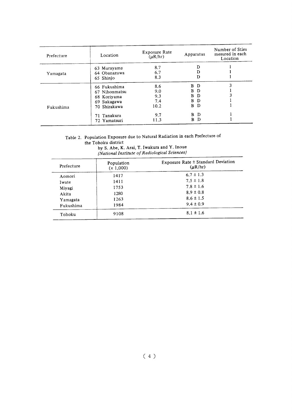| Prefecture | Location                                                                    | Exposure Rate<br>$(\mu R/hr)$    | Apparatus                                                 | Number of Sties<br>mesured in each<br>Location |
|------------|-----------------------------------------------------------------------------|----------------------------------|-----------------------------------------------------------|------------------------------------------------|
| Yamagata   | 63 Murayama<br>64 Obanazawa<br>65 Shinjo                                    | 8.7<br>6.7<br>8.3                | D<br>D<br>D                                               |                                                |
| Fukushima  | 66 Fukushima<br>67 Nihonmatsu<br>68 Koriyama<br>69 Sukagawa<br>70 Shirakawa | 8.6<br>9.0<br>9.3<br>7.4<br>10.2 | D<br>в<br>в<br>D<br>B<br>D<br>B<br>$\mathbf{D}$<br>B<br>D |                                                |
|            | 71 Tanakura<br>72 Yamatsuri                                                 | 9.7<br>11.3                      | B.<br>D<br>B D                                            |                                                |

### Table 2. Population Exposure due to Natural Radiation in each Prefecture of the Tohoku district by S. Abe, K. Arai, T. Iwakura and Y. Inoue

(National Institute of Radiological Sciences)

| Prefecture | Population<br>(x 1,000) | Exposure Rate ± Standard Deviation<br>$(\mu R/hr)$ |
|------------|-------------------------|----------------------------------------------------|
| Aomori     | 1417                    | $6.7 \pm 1.3$                                      |
| Iwate      | 1411                    | $7.5 \pm 1.8$                                      |
| Miyagi     | 1753                    | $7.8 \pm 1.6$                                      |
| Akita      | 1280                    | $8.9 \pm 0.8$                                      |
| Yamagata   | 1263                    | $8.6 \pm 1.5$                                      |
| Fukushima  | 1984                    | $9.4 \pm 0.9$                                      |
| Tohoku     | 9108                    | $8.1 \pm 1.6$                                      |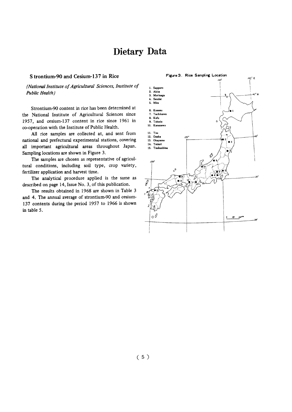### Dietary Data

### S trontium-90 and Cesium-137 in Rice

(National Institute of Agricultural Sciences, Institute of Public Health)

Strontium-90 content in rice has been determined at the National Institute of Agricultural Sciences since 1957, and cesium-137 content in rice since 1961 in co-operation with the Institute of Public Health.

All rice samples are collected at, and sent from national and prefectural experimental stations, covering all important agricultural areas throughout Japan. Sampling locations are shown in Figure 3.

The samples are chosen as representative of agricultural conditions, including soil type, crop variety, fertilizer application and harvest time.

The analytical procedure applied is the same as described on page 14, Issue No. 3, of this publication.

The results obtained in 1968 are shown in Table 3 and 4. The annual average of strontium-90 and cesium-137 contents during the period 1957 to 1966 is shown in table 5.

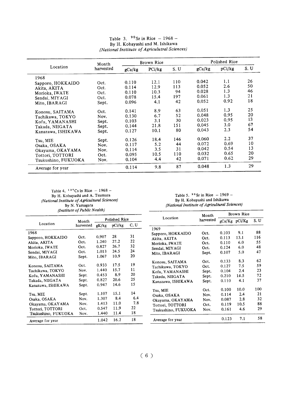|                     | Month     | Brown Rice |        |     | Polished Rice |               |     |  |
|---------------------|-----------|------------|--------|-----|---------------|---------------|-----|--|
| Location            | harvested | gCa/kg     | PCi/kg | S.U | gCa/kg        | pCi/kg        | S.U |  |
| 1968                |           |            |        |     |               |               |     |  |
| Sapporo, HOKKAIDO   | Oct.      | 0.110      | 12.1   | 110 | 0.042         | 1.1           | 26  |  |
| Akita, AKITA        | Oct.      | 0.114      | 12.9   | 113 | 0.052         | 2.6           | 50  |  |
| Morioka, IWATE      | Oct.      | 0.110      | 10.3   | 94  | 0.028         | 1.3           | 46  |  |
| Sendai, MIYAGI      | Oct.      | 0.078      | 15.4   | 197 | 0.061         | 1.3           | 21  |  |
| Mito, IBARAGI       | Sept.     | 0.096      | 4.1    | 42  | 0.052         | 0.92          | 18  |  |
| Konosu, SAITAMA     | Oct.      | 0.141      | 8.9    | 63  | 0.051         | 1.3           | 25  |  |
| Tachikawa, TOKYO    | Nov.      | 0.130      | 6.7    | 52  | 0.048         | 0.95          | 20  |  |
| Kofu, YAMANASHI     | Sept.     | 0.103      | 3.1    | 30  | 0.023         | 0.95          | 13  |  |
| Takada, NIIGATA     | Sept.     | 0.144      | 21.8   | 151 | 0.045         | 3.0           | 67  |  |
| Kanazawa, ISHIKAWA  | Sept.     | 0.127      | 10.1   | 80  | 0.043         | 2.3           | 54  |  |
| Tsu, MIE            | Sept.     | 0.126      | 18.4   | 146 | 0.060         | $2.2^{\circ}$ | 37  |  |
| Osaka, OSAKA        | Nov.      | 0.117      | 5.2    | 44  | 0.072         | 0.69          | 10  |  |
| Okayama, OKAYAMA    | Nov.      | 0.114      | 3.5    | 31  | 0.042         | 0.54          | 13  |  |
| Tottori. TOTTORI    | Oct.      | 0.095      | 10.5   | 110 | 0.032         | 0.65          | 20  |  |
| Tsukushino, FUKUOKA | Nov.      | 0.104      | 4.4    | 42  | 0.071         | 0.62          | 29  |  |
| Average for year    |           | 0.114      | 9.8    | 87  | 0.048         | 1.3           | 29  |  |

### Table 3. $95r1$ By H. Kobayashi al //www.changerson.com/mathematics/mathematics/mathematics/mathematics/mathematics/mathematics/mathematics/mathematics/mathematics/mathematics/mathematics/mathematics/mathematics/mathematics/mathematics/mathematics/mathemati

Table 4. $131$ cs in R By H. Kobayashi and (National Institute of Agricultural Sciences) ByN.Yamagata (Institute of Public Nealth)

Table 5.  $90$  Sr in Rice - 1969 -By H. Kobayashi and Ishikawa (National Institute of Agricultural Sciences)

| $\mu$ strate of theme to $\mu$ ,                                                                                                                         |                                                                |                                                                      |                                                           |                                                    |                                                                                                                                                                             | Month                                                                   | Brown Rice                                                                    |                                                               |                                                     |
|----------------------------------------------------------------------------------------------------------------------------------------------------------|----------------------------------------------------------------|----------------------------------------------------------------------|-----------------------------------------------------------|----------------------------------------------------|-----------------------------------------------------------------------------------------------------------------------------------------------------------------------------|-------------------------------------------------------------------------|-------------------------------------------------------------------------------|---------------------------------------------------------------|-----------------------------------------------------|
|                                                                                                                                                          | Month                                                          |                                                                      | Polished Rice                                             |                                                    | Location                                                                                                                                                                    | harvested                                                               |                                                                               | gCa/Kg pCi/Kg                                                 | S. U                                                |
| Location                                                                                                                                                 | harvested                                                      | gK/kg                                                                | pCi/kg                                                    | C, U                                               |                                                                                                                                                                             |                                                                         |                                                                               |                                                               |                                                     |
| 1968<br>Sapporo, HOKKAIDO<br>Akita, AKITA<br>Morioka, IWATE<br>Sendai, MIYAGI<br>Mito, IBARAGI<br>Konosu, SAITAMA<br>Tachikawa, TOKYO<br>Kofu, YAMANASHI | Oct.<br>Oct.<br>Oct.<br>Oct.<br>Sept.<br>Oct.<br>Nov.<br>Sept. | 0.907<br>1.240<br>0.827<br>1.013<br>1.067<br>0.933<br>1.440<br>0.453 | 28<br>27.2<br>26.7<br>24.5<br>10.9<br>17.5<br>15.7<br>8.9 | 31<br>22<br>32<br>24<br>20<br>19<br>11<br>20<br>25 | 1969<br>Sapporo, HOKKAIDO<br>Akita, AKITA<br>Morioka, IWATE<br>Sendai, MIYAGI<br>Mito, IBARAGI<br>Konosu, SAITAMA<br>Tachikawa, TOKYO<br>Kofu, YAMANASHI<br>Takeda, NIIGATA | Oct.<br>Oct.<br>Oct.<br>Oct.<br>Sept.<br>Oct.<br>Oct.<br>Sept.<br>Sept. | 0.103<br>0.113<br>0.110<br>0.124<br>0.107<br>0.133<br>0.127<br>0.104<br>0.210 | 9.1<br>13.1<br>6.0<br>6.0<br>5.0<br>8.3<br>7.5<br>2.4<br>14.5 | 88<br>116<br>55<br>48<br>47<br>62<br>59<br>23<br>72 |
| Takada, NIIGATA<br>Kanazawa, ISHIKAWA                                                                                                                    | Sept.<br>Sept.                                                 | 0.827<br>0.947                                                       | 20.6<br>14.6                                              | 15                                                 | Kanazawa, ISHIKAWA                                                                                                                                                          | Sept.                                                                   | 0.110                                                                         | 4.1                                                           | 37                                                  |
| Tsu, MIE<br>Osaka, OSAKA<br>Okavama, OKAYAMA<br>Tottori, TOTTORI<br>Tsukushino, FUKUOKA                                                                  | Sept.<br>Nov.<br>Nov.<br>Oct.<br>Nov.                          | 1.107<br>1.307<br>1.413<br>0.547<br>1.440                            | 15.1<br>8.4<br>11.0<br>11.9<br>11.4                       | 14<br>6.4<br>7.8<br>22<br>18                       | Tsu, MIE<br>Osaka, OSAKA<br>Okayama, OKAYAMA<br>Tottori, TOTTORI<br>Tsukushino, FUKUOKA                                                                                     | Oct.<br>Nov.<br>Nov.<br>Oct.<br>Nov.                                    | 0.100<br>0.114<br>0.087<br>0.119<br>0.161                                     | 10.0<br>2.4<br>2.8<br>10.5<br>4.6                             | 100<br>21<br>32<br>88<br>29                         |
| Average for year                                                                                                                                         |                                                                | 1.042                                                                | 16.2                                                      | 18                                                 | Average for year                                                                                                                                                            |                                                                         | 0.123                                                                         | 7.1                                                           | 58                                                  |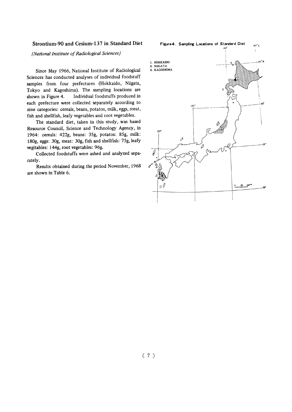### Strontium-90 and Cesium-137 in Standard Diet

(National Institute of Radiological Sciences)

Since May 1966, National Institute of Radiological Sciences has conducted analyses of individual foodstuff samples from four prefectures (Hokkaido, Niigata, Tokyo and Kagoshima). The sampling locations are shown in Figure 4. Individual foodstuffs produced in each prefecture were collected separately according to nine categories: cereals, beans, potatos, milk, eggs, meat, fish and shellfish, leafy vegetables and root vegetables.

The standard diet, taken in this study, was based Resource Council, Science and Technology Agency, in 1964: cereals: 422g, beans: 35g, potatos: 85g, milk: 180g, eggs: 30g, meat: 30g, fish and shellfish: 75g, leafy vegitables: 144g, root vegetables: 96g.

Collected foodstuffs were ashed and analyzed separately.

Results obtained during the period November, 1968 are shown in Table 6.

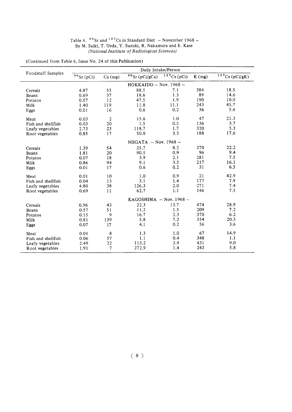| Table 6. $90$ Sr and $137$ Cs in Standard Diet – November 1968 – |
|------------------------------------------------------------------|
| By M. Saiki, T. Ueda, Y. Suzuki, R. Nakamura and E. Kase         |
| (National Institute of Radiological Sciences)                    |

(Continued from Table 6, Issue No. 24 of this Publication)

| Foodstuff Samples  | Daily Intake/Person      |                           |                             |            |       |               |  |  |  |
|--------------------|--------------------------|---------------------------|-----------------------------|------------|-------|---------------|--|--|--|
|                    | $90$ Sr (pCi)            | $Ca$ (mg)                 | $90$ Sr (pCi/gCa)           | 137Cs(pCi) | K(mg) | 137Cs(pCi/gK) |  |  |  |
|                    | $HOKKAIDO - Nov. 1968 -$ |                           |                             |            |       |               |  |  |  |
| Cereals            | 4.87                     | 55                        | 88.5                        | 7.1        | 384   | 18.5          |  |  |  |
| Beans              | 0.69                     | 37                        | 18.6                        | 1.3        | 89    | 14.6          |  |  |  |
| Potatos            | 0.57                     | 12                        | 47.5                        | 1.9        | 190   | 10.0          |  |  |  |
| Milk               | 1.40                     | 119                       | 11.8                        | 11.1       | 243   | 45.7          |  |  |  |
| Eggs               | 0.01                     | 16                        | 0.6                         | 0.2        | 36    | 5.6           |  |  |  |
| Meat               | 0.03                     | $\boldsymbol{2}$          | 15.6                        | 1.0        | 47    | 21.3          |  |  |  |
| Fish and shellfish | 0.03                     | 20                        | 1.5                         | 0.5        | 136   | 3.7           |  |  |  |
| Leafy vegetables   | 2.73                     | 23                        | 118.7                       | 1.7        | 320   | 5.3           |  |  |  |
| Root vegetables    | 0.85                     | 17                        | 50.0                        | 3.3        | 188   | 17.6          |  |  |  |
|                    |                          | NIIGATA $-$ Nov. 1968 $-$ |                             |            |       |               |  |  |  |
| Cereals            | 1.39                     | 54                        | 25.7                        | 8.2        | 370   | 22.2          |  |  |  |
| Beans              | 1.81                     | 20                        | 90.5                        | 0.9        | 96    | 9.4           |  |  |  |
| Potatos            | 0.07                     | 18                        | 3.9                         | 2.1        | 281   | 7.5           |  |  |  |
| Milk               | 0.86                     | 94                        | 9.1                         | 3.5        | 217   | 16.1          |  |  |  |
| Eggs               | 0.01                     | 17                        | 0.6                         | 0.2        | 31    | 6.5           |  |  |  |
| Meat               | 0.01                     | 10                        | 1.0                         | 0.9        | 21    | 42.9          |  |  |  |
| Fish and shellfish | 0.04                     | 13                        | 3.1                         | 1.4        | 177   | 7.9           |  |  |  |
| Leafy vegetables   | 4.80                     | 38                        | 126.3                       | 2.0        | 271   | 7.4           |  |  |  |
| Root vegetables    | 0.69                     | 11                        | 62.7                        | 1.1        | 146   | 7.5           |  |  |  |
|                    |                          |                           | KAGOSHIMA $-$ Nov. 1968 $-$ |            |       |               |  |  |  |
| Cereals            | 0.96                     | 43                        | 22.3                        | 13.7       | 474   | 28.9          |  |  |  |
| Beans              | 0.57                     | 51                        | 11.2                        | 1.5        | 209   | 7.2           |  |  |  |
| Potatos            | 0.15                     | 9                         | 16.7                        | 2.3        | 370   | 6.2           |  |  |  |
| Milk               | 0.81                     | 139                       | 5.8                         | 7.2        | 354   | 20.3          |  |  |  |
| Eggs               | 0.07                     | 17                        | 4.1                         | 0.2        | 56    | 3.6           |  |  |  |
| Meat               | 0.01                     | 8                         | 1.3                         | 1.0        | 67    | 14.9          |  |  |  |
| Fish and shellfish | 0.06                     | 57                        | 1.1                         | 0.4        | 348   | 1.1           |  |  |  |
| Leafy vegetables   | 2.49                     | 22                        | 113.2                       | 3.9        | 431   | 9.0           |  |  |  |
| Root vegetables    | 1.91                     | 7                         | 272.9                       | 1.4        | 243   | 5.8           |  |  |  |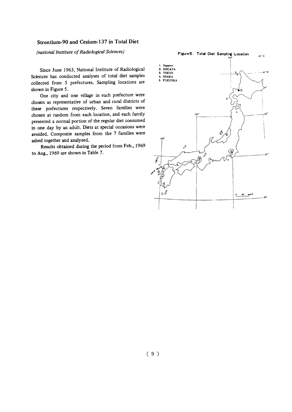### Strontium-90 and Cesium-137 in Total Diet

(national Institute of Radiological Sciences)

## Figure 5. Total Diet Sampling Location  $145^\circ$  E 1. Sapporo<br>2. NIIGATA 3. TOKYO ... 45° N 4. OSAKA<br>5. FUKUOKA  $135$  $\cdot^{\circ}$ ا© 6  $\overline{\ell}$  $_{\text{o}} \mathcal{O}$

Since June 1963, National Institute of Radiological Sciences has conducted analyses of total diet samples collected from 5 prefectures. Sampling locations are shown in Figure 5.

One city and one village in each prefecture were chosen as representative of urban and rural districts of these prefectures respectively. Seven families were chosen at random from each location, and each family presented a normal portion of the regular diet consumed in one day by an adult. Diets at special occasions were avoided. Composite samples from the 7 families were ashed together and analyzed.

Results obtained during the period from Feb., 1969 to Aug., 1969 are shown in Table 7.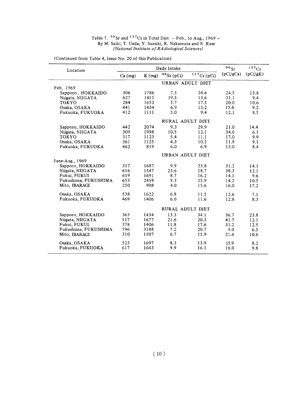#### Table  $7.7^\circ$  Sr and  $1^\circ$  Cs in Total By M. Saiki, T. Ueda, Y. Suzu {National Institute of RAdiological Sciences}

| Location             |         |       | Daily Intake            |            | 90Sr      | 137Cs    |
|----------------------|---------|-------|-------------------------|------------|-----------|----------|
|                      | Ca (mg) | K(mg) | $^{90}\rm{Sr}$ (pCi)    | 137Cs(pCi) | (pCi/gCa) | (pCi/gK) |
|                      |         |       | URBAN ADULT DIET        |            |           |          |
| Feb. 1969            |         |       |                         |            |           |          |
| Sapporo, HOKKAIDO    | 306     | 1786  | 7.5                     | 24.6       | 24.5      | 13.8     |
| Niigata, NIIGATA     | 627     | 1451  | 19.5                    | 13.6       | 31.1      | 9.4      |
| <b>TOKYO</b>         | 284     | 1653  | 5.7                     | 17.5       | 20.0      | 10.6     |
| Osaka, OSAKA         | 441     | 1434  | 6.9                     | 13.2       | 15.6      | 9.2      |
| Fukuoka, FUKUOKA     | 412     | 1111  | 5.0                     | 9.4        | 12.1      | 8.5      |
|                      |         |       | RURAL ADULT DIET        |            |           |          |
| Sapporo, HOKKAIDO    | 442     | 2074  | 9.3                     | 29.9       | 21.0      | 14.4     |
| Niigata, NIIGATA     | 309     | 1998  | 10.5                    | 12.1       | 34.0      | 6.1      |
| <b>TOKYO</b>         | 317     | 1123  | 5.4                     | 11.1       | 17.0      | 9.9      |
| Osaka, OSAKA         | 361     | 1125  | 4.3                     | 10.2       | 11.9      | 9.1      |
| Fukuoka, FUKUOKA     | 462     | 819   | 6.0                     | 6.9        | 13.0      | 8.4      |
|                      |         |       | URBAN ADULT DIET        |            |           |          |
| June-Aug., 1969      |         |       |                         |            |           |          |
| Sapporo, HOKKAIDO    | 317     | 1687  | 9.9                     | 23.8       | 31.2      | 14.1     |
| Niigata, NIIGATA     | 616     | 1547  | 23.6                    | 18.7       | 38.3      | 12.1     |
| Fukui, FUKUI         | 619     | 1691  | 8.7                     | 16.2       | 14.1      | 9.6      |
| Fukushima, FUKUSHIMA | 653     | 2458  | 9.3                     | 25.9       | 14.2      | 10.5     |
| Mito. IBARAGI        | 250     | 908   | 4.0                     | 15.6       | 16.0      | 17.2     |
| Osaka, OSAKA         | 538     | 1622  | 6.8                     | 11.5       | 12.6      | 7.1      |
| Fukuoka, FUKUOKA     | 469     | 1406  | 6.0                     | 11.6       | 12.8      | 8.3      |
|                      |         |       | <b>RURAL ADULT DIET</b> |            |           |          |
| Sapporo, HOKKAIDO    | 363     | 1434  | 13.3                    | 34.1       | 36.7      | 23.8     |
| Niigata, NIIGATA     | 517     | 1677  | 21.6                    | 20.3       | 41.7      | 12.1     |
| Fukui, FUKUI         | 378     | 1406  | 11.8                    | 17.6       | 31.2      | 12.5     |
| Fukushima, FUKUSHIMA | 796     | 3188  | 7.2                     | 20.7       | 9.0       | 6.5      |
| Mito, IBARAGI        | 310     | 1507  | 6.7                     | 15.9       | 21.6      | 10.6     |
|                      |         |       |                         |            |           |          |
| Osaka, OSAKA         | 523     | 1697  | 8.3                     | 13.9       | 15.9      | 8.2      |
| Fukuoka, FUKUOKA     | 617     | 1643  | 9.9                     | 16.1       | 16.0      | 9.8      |
|                      |         |       |                         |            |           |          |

(Continued from Table 4, Issue No. 20 of this Publication)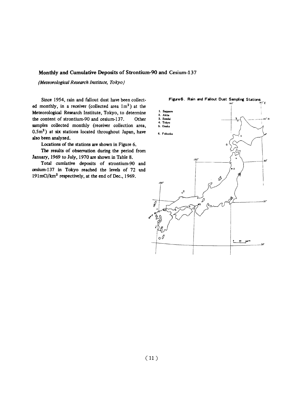### Monthly and Cumulative Deposits of Strontium-90 and Cesium-137

(Meteorological Research Institute, Tokyo)

Since 1954, rain and fallout dust have been collected monthly, in a receiver (collected area 1m<sup>2</sup>) at the Meteorological Research Institute, Tokyo, to determine the content of strontium-90 and cesium-137. Other samples collected monthly (receiver collection area, 0.5m<sup>2</sup>) at six stations located throughout Japan, have also been analyzed.

Locations of the stations are shown in Figure 6.

The results of observation during the period from January, 1969 to July, 1970 are shown in Table 8.

Total cumlative deposits of strontium-90 and cesium-137 in Tokyo reached the levels of 72 and 191mCi/km<sup>2</sup> respectively, at the end of Dec., 1969.

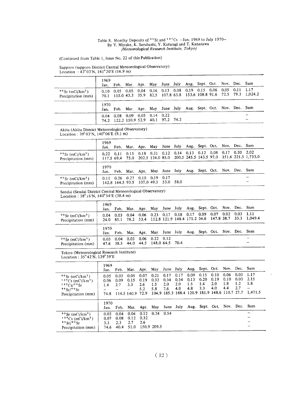#### Table 8. Monthy Deposits of 3 3r and By Y. Miyake, K. Saruhashi, Y. Katura |Meteorological Research Institute, Ιολγό)

(Continued from Table 1, Issue No. 22 of this Publication)

Sapporo (sapporo District Central Meteorological Observation : 43° 03'N, 141° 20'E (16.9 m)

|                                                      | 1969<br>Jan. |                                 |  |                                      | Feb. Mar. Apr. May June July Aug. Sept. Oct. Nov. Dec. Sum    |  |  |                                                                         |
|------------------------------------------------------|--------------|---------------------------------|--|--------------------------------------|---------------------------------------------------------------|--|--|-------------------------------------------------------------------------|
| $90$ Sr (mCi/km <sup>2</sup> )<br>Precipitation (mm) | 0.10         |                                 |  |                                      | $0.05$ 0.05 0.04 0.16 0.13 0.08 0.19 0.15 0.06 0.05 0.11 1.17 |  |  | 70.1 115.0 43.3 35.9 82.5 107.8 63.8 153.6 108.8 91.6 72.5 79.3 1,024.2 |
|                                                      | 1970<br>Jan. |                                 |  |                                      | Feb. Mar. Apr. May June July Aug. Sept. Oct. Nov. Dec. Sum    |  |  |                                                                         |
|                                                      |              | $0.04$ 0.08 0.09 0.05 0.14 0.22 |  | 74.2 122.2 150.9 52.9 40.1 97.2 74.2 |                                                               |  |  |                                                                         |

Akita (Akita District Meteorological Observa Location:  $3903N$ ,  $14000E$ 

|                                                      | 1969<br>Jan.      |  |                                                                             |  |  |  | Feb. Mar. Apr. May June July Aug. Sept. Oct. Nov. Dec. Sum |                                                                             |
|------------------------------------------------------|-------------------|--|-----------------------------------------------------------------------------|--|--|--|------------------------------------------------------------|-----------------------------------------------------------------------------|
| $90$ Sr (mCi/km <sup>2</sup> )<br>Precipitation (mm) | $0.22 \quad 0.11$ |  |                                                                             |  |  |  | 0.15 0.18 0.31 0.12 0.14 0.13 0.12 0.08 0.17 0.30 2.02     | 117.5 69.4 75.0 202.5 124.0 85.0 200.5 245.5 143.5 97.0 151.6 221.5 1,733.0 |
|                                                      | 1970<br>Jan.      |  |                                                                             |  |  |  | Feb. Mar. Apr. May June July Aug. Sept. Oct. Nov. Dec. Sum |                                                                             |
| $90$ Sr (mCi/km <sup>2</sup> )<br>Precipitation (mm) | 0.11              |  | $0.26$ $0.27$ $0.10$ $0.19$ $0.17$<br>142.8 144.5 93.5 107.0 49.5 53.0 58.0 |  |  |  |                                                            |                                                                             |

Sendai (Sendai District Central Meteorological Obser Location:  $38^{\circ}15 \text{ N}$ ,  $140^{\circ}34^{\circ}$ E

|                                                      | 1969     |       |      | Jan. Feb. Mar. Apr. May June July Aug. Sept. Oct. Nov. Dec. Sum     |  |  |  |                                                                          |
|------------------------------------------------------|----------|-------|------|---------------------------------------------------------------------|--|--|--|--------------------------------------------------------------------------|
| $90$ Sr (mCi/km <sup>2</sup> )<br>Precipitation (mm) | 0.04     | -0.03 | 0.04 | $0.06$ $0.23$ $0.17$ $0.18$ $0.17$ $0.09$ $0.07$ $0.02$ $0.03$ 1.11 |  |  |  | 24.0 85.1 78.2 53.4 112.8 121.9 148.4 171.2 34.6 147.8 38.7 33.3 1,049.4 |
|                                                      | 1970     |       |      | Jan. Feb. Mar. Apr. May June July Aug. Sept. Oct. Nov. Dec. Sum     |  |  |  |                                                                          |
| $90$ Sr (mCi/km <sup>2</sup> )<br>Precipitation (mm) | $0.03 -$ | 0.04  |      | $0.03$ 0.06 0.22 0.12<br>47.6 38.5 44.0 44.5 148.0 64.5 70.4        |  |  |  |                                                                          |

Tokyo (Meteorological Research Institute) Location:  $35^{\circ}42'$ N,  $139^{\circ}39'E$ 

|                                                                                                                          | 1969<br>Jan.                | Feb.                        |                                         | Mar. Apr. May June July                               |                            |                                      |                            | Aug. Sept. Oct. Nov. Dec. Sum                                                |                            |                            |                            |                            |                                     |
|--------------------------------------------------------------------------------------------------------------------------|-----------------------------|-----------------------------|-----------------------------------------|-------------------------------------------------------|----------------------------|--------------------------------------|----------------------------|------------------------------------------------------------------------------|----------------------------|----------------------------|----------------------------|----------------------------|-------------------------------------|
| $90$ Sr (mCi/km <sup>2</sup> )<br>$137CS$ (mCi/km <sup>2</sup> )<br>137Cs/99Sr<br>$89$ Sr/ $99$ Sr<br>Precipitation (mm) | 0.05<br>0.06<br>1.4<br>74.8 | 0.03<br>0.09<br>2.7         | 0.05<br>0.15<br>3.3<br>114.5 140.9 72.9 | 0.07<br>0.19<br>2.6<br>5.2                            | 0.21<br>0.32<br>1.5<br>5.8 | 0.17<br>0.34<br>$2.0^{\circ}$<br>7.6 | 0.17<br>0.34<br>2.0<br>4.0 | 0.09<br>0.13<br>1.5<br>4.8<br>104.9 185.3 188.4 120.9 181.9 148.6 110.7 27.7 | 0.15<br>0.20<br>1.4<br>3.3 | 0.10<br>0.19<br>2.0<br>4.0 | 0.06<br>0.10<br>1.8<br>4.4 | 0.03<br>0.03<br>1.2<br>2.7 | 1.17<br>2.15<br>1.8<br>—<br>1.471.5 |
|                                                                                                                          | 1970<br>Jan.                | Feb.                        |                                         | Mar. Apr. May June July Aug. Sept. Oct. Nov. Dec. Sum |                            |                                      |                            |                                                                              |                            |                            |                            |                            |                                     |
| $90$ Sr (mCi/km <sup>2</sup> )<br>$137Cs$ (mCi/km <sup>2</sup> )<br>89Sr/89Sr<br>Precipitation (mm)                      | 0.02<br>0.07<br>3.3<br>74.6 | 0.04<br>0.08<br>2.3<br>40.4 | 0.04<br>0.12<br>2.7<br>51.0             | 0.12<br>0.32<br>2.6                                   | $0.24$ 0.54<br>150.9 209.5 |                                      |                            |                                                                              |                            |                            |                            |                            |                                     |